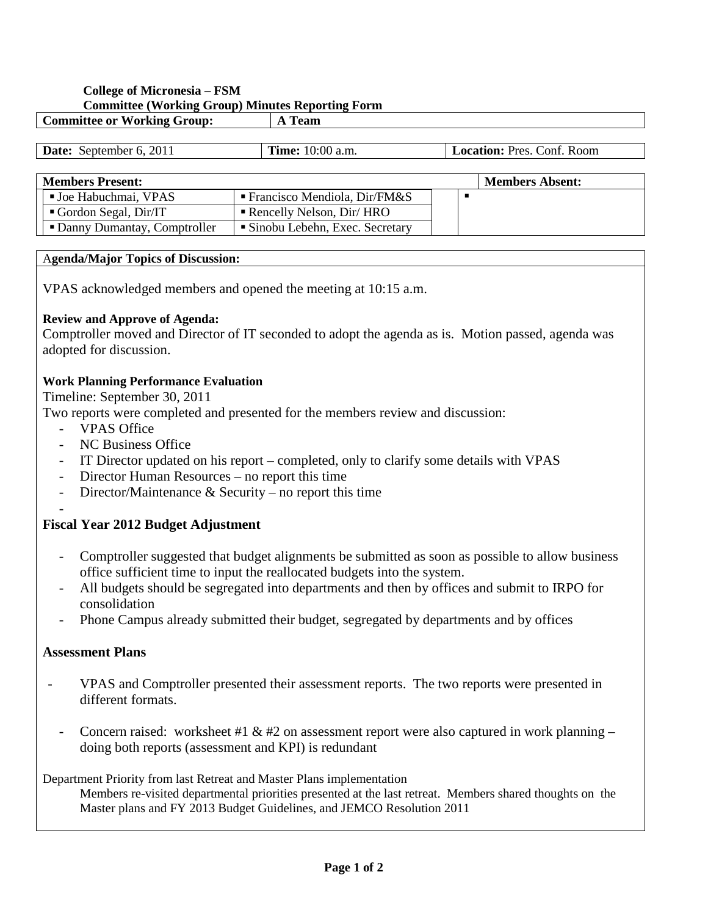# **College of Micronesia – FSM Committee (Working Group) Minutes Reporting Form**

| $- -$<br>Committee or<br>Group:<br><b>JE Working</b> | eam |
|------------------------------------------------------|-----|
|                                                      |     |

| <b>Date:</b> September 6, 2011 | <b>Time:</b> 10:00 a.m.                  |  | <b>Location: Pres. Conf. Room</b> |  |  |
|--------------------------------|------------------------------------------|--|-----------------------------------|--|--|
|                                |                                          |  |                                   |  |  |
| <b>Members Present:</b>        |                                          |  | <b>Members Absent:</b>            |  |  |
| ■ Joe Habuchmai, VPAS          | <b>Francisco Mendiola, Dir/FM&amp;S</b>  |  |                                   |  |  |
| Gordon Segal, Dir/IT           | $\blacksquare$ Rencelly Nelson, Dir/ HRO |  |                                   |  |  |
| • Danny Dumantay, Comptroller  | • Sinobu Lebehn, Exec. Secretary         |  |                                   |  |  |

### A**genda/Major Topics of Discussion:**

VPAS acknowledged members and opened the meeting at 10:15 a.m.

## **Review and Approve of Agenda:**

Comptroller moved and Director of IT seconded to adopt the agenda as is. Motion passed, agenda was adopted for discussion.

## **Work Planning Performance Evaluation**

Timeline: September 30, 2011

Two reports were completed and presented for the members review and discussion:

- VPAS Office
- NC Business Office
- IT Director updated on his report completed, only to clarify some details with VPAS
- Director Human Resources no report this time
- Director/Maintenance  $&$  Security no report this time

#### - **Fiscal Year 2012 Budget Adjustment**

- Comptroller suggested that budget alignments be submitted as soon as possible to allow business office sufficient time to input the reallocated budgets into the system.
- All budgets should be segregated into departments and then by offices and submit to IRPO for consolidation
- Phone Campus already submitted their budget, segregated by departments and by offices

## **Assessment Plans**

- VPAS and Comptroller presented their assessment reports. The two reports were presented in different formats.
- Concern raised: worksheet #1 & #2 on assessment report were also captured in work planning doing both reports (assessment and KPI) is redundant

## Department Priority from last Retreat and Master Plans implementation

Members re-visited departmental priorities presented at the last retreat. Members shared thoughts on the Master plans and FY 2013 Budget Guidelines, and JEMCO Resolution 2011